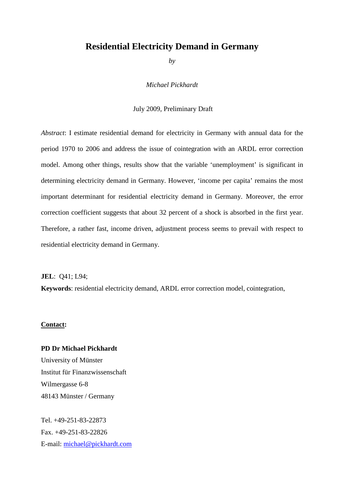# **Residential Electricity Demand in Germany**

*by* 

*Michael Pickhardt* 

July 2009, Preliminary Draft

*Abstract*: I estimate residential demand for electricity in Germany with annual data for the period 1970 to 2006 and address the issue of cointegration with an ARDL error correction model. Among other things, results show that the variable 'unemployment' is significant in determining electricity demand in Germany. However, 'income per capita' remains the most important determinant for residential electricity demand in Germany. Moreover, the error correction coefficient suggests that about 32 percent of a shock is absorbed in the first year. Therefore, a rather fast, income driven, adjustment process seems to prevail with respect to residential electricity demand in Germany.

**JEL**: Q41; L94;

**Keywords**: residential electricity demand, ARDL error correction model, cointegration,

### **Contact:**

**PD Dr Michael Pickhardt**  University of Münster Institut für Finanzwissenschaft Wilmergasse 6-8 48143 Münster / Germany

Tel. +49-251-83-22873 Fax. +49-251-83-22826 E-mail: michael@pickhardt.com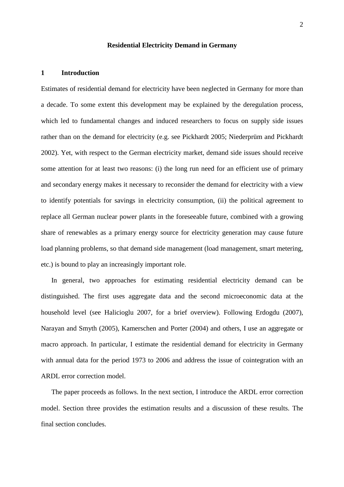## **Residential Electricity Demand in Germany**

## **1 Introduction**

Estimates of residential demand for electricity have been neglected in Germany for more than a decade. To some extent this development may be explained by the deregulation process, which led to fundamental changes and induced researchers to focus on supply side issues rather than on the demand for electricity (e.g. see Pickhardt 2005; Niederprüm and Pickhardt 2002). Yet, with respect to the German electricity market, demand side issues should receive some attention for at least two reasons: (i) the long run need for an efficient use of primary and secondary energy makes it necessary to reconsider the demand for electricity with a view to identify potentials for savings in electricity consumption, (ii) the political agreement to replace all German nuclear power plants in the foreseeable future, combined with a growing share of renewables as a primary energy source for electricity generation may cause future load planning problems, so that demand side management (load management, smart metering, etc.) is bound to play an increasingly important role.

In general, two approaches for estimating residential electricity demand can be distinguished. The first uses aggregate data and the second microeconomic data at the household level (see Halicioglu 2007, for a brief overview). Following Erdogdu (2007), Narayan and Smyth (2005), Kamerschen and Porter (2004) and others, I use an aggregate or macro approach. In particular, I estimate the residential demand for electricity in Germany with annual data for the period 1973 to 2006 and address the issue of cointegration with an ARDL error correction model.

The paper proceeds as follows. In the next section, I introduce the ARDL error correction model. Section three provides the estimation results and a discussion of these results. The final section concludes.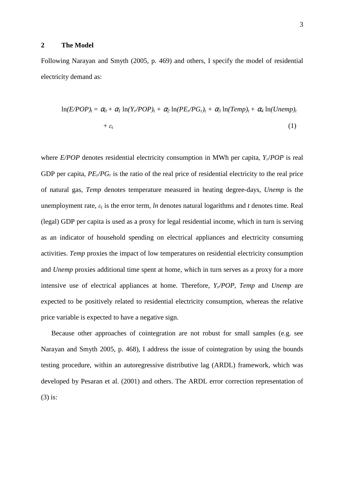## **2 The Model**

Following Narayan and Smyth (2005, p. 469) and others, I specify the model of residential electricity demand as:

$$
\ln(E/POP)_t = \alpha_0 + \alpha_1 \ln(Y_r/POP)_t + \alpha_2 \ln(PE_r/PG_r)_t + \alpha_3 \ln(Temp)_t + \alpha_4 \ln(Unemp)_t + \varepsilon_t
$$
\n(1)

where *E/POP* denotes residential electricity consumption in MWh per capita, *Yr*/*POP* is real GDP per capita, *PEr/PG<sup>r</sup>* is the ratio of the real price of residential electricity to the real price of natural gas, *Temp* denotes temperature measured in heating degree-days, *Unemp* is the unemployment rate, ε*<sup>t</sup>* is the error term, *ln* denotes natural logarithms and *t* denotes time. Real (legal) GDP per capita is used as a proxy for legal residential income, which in turn is serving as an indicator of household spending on electrical appliances and electricity consuming activities. *Temp* proxies the impact of low temperatures on residential electricity consumption and *Unemp* proxies additional time spent at home, which in turn serves as a proxy for a more intensive use of electrical appliances at home. Therefore, *Yr/POP*, *Temp* and *Unemp* are expected to be positively related to residential electricity consumption, whereas the relative price variable is expected to have a negative sign.

Because other approaches of cointegration are not robust for small samples (e.g. see Narayan and Smyth 2005, p. 468), I address the issue of cointegration by using the bounds testing procedure, within an autoregressive distributive lag (ARDL) framework, which was developed by Pesaran et al. (2001) and others. The ARDL error correction representation of (3) is: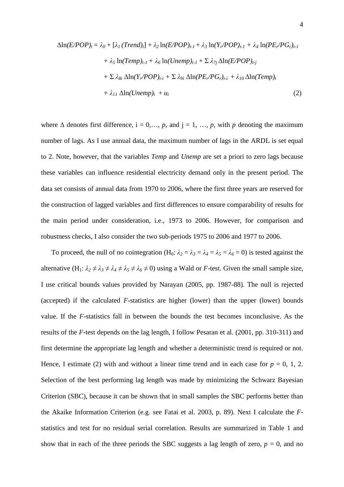$$
\Delta \ln(E/POP)_t = \lambda_0 + [\lambda_1 (Trend)_t] + \lambda_2 \ln(E/POP)_{t-1} + \lambda_3 \ln(Y_r/POP)_{t-1} + \lambda_4 \ln(PE_r/PG_r)_{t-1} + \lambda_5 \ln(Temp)_{t-1} + \lambda_6 \ln(Unemp)_{t-1} + \Sigma \lambda_{7j} \Delta \ln(E/POP)_{t-j} + \Sigma \lambda_{8i} \Delta \ln(Y_r/POP)_{t-i} + \Sigma \lambda_{9i} \Delta \ln(PE_r/PG_r)_{t-i} + \lambda_{10} \Delta \ln(Temp)_{t} + \lambda_{11} \Delta \ln(Unemp)_{t} + u_t
$$
\n(2)

where  $\Delta$  denotes first difference,  $i = 0, \ldots, p$ , and  $j = 1, \ldots, p$ , with *p* denoting the maximum number of lags. As I use annual data, the maximum number of lags in the ARDL is set equal to 2. Note, however, that the variables *Temp* and *Unemp* are set a priori to zero lags because these variables can influence residential electricity demand only in the present period. The data set consists of annual data from 1970 to 2006, where the first three years are reserved for the construction of lagged variables and first differences to ensure comparability of results for the main period under consideration, i.e., 1973 to 2006. However, for comparison and robustness checks, I also consider the two sub-periods 1975 to 2006 and 1977 to 2006.

To proceed, the null of no cointegration (H<sub>0</sub>:  $\lambda_2 = \lambda_3 = \lambda_4 = \lambda_5 = \lambda_6 = 0$ ) is tested against the alternative  $(H_1: \lambda_2 \neq \lambda_3 \neq \lambda_4 \neq \lambda_5 \neq \lambda_6 \neq 0)$  using a Wald or *F*-test. Given the small sample size, I use critical bounds values provided by Narayan (2005, pp. 1987-88). The null is rejected (accepted) if the calculated *F*-statistics are higher (lower) than the upper (lower) bounds value. If the *F*-statistics fall in between the bounds the test becomes inconclusive. As the results of the *F*-test depends on the lag length, I follow Pesaran et al. (2001, pp. 310-311) and first determine the appropriate lag length and whether a deterministic trend is required or not. Hence, I estimate (2) with and without a linear time trend and in each case for  $p = 0, 1, 2$ . Selection of the best performing lag length was made by minimizing the Schwarz Bayesian Criterion (SBC), because it can be shown that in small samples the SBC performs better than the Akaike Information Criterion (e.g. see Fatai et al. 2003, p. 89). Next I calculate the *F*statistics and test for no residual serial correlation. Results are summarized in Table 1 and show that in each of the three periods the SBC suggests a lag length of zero,  $p = 0$ , and no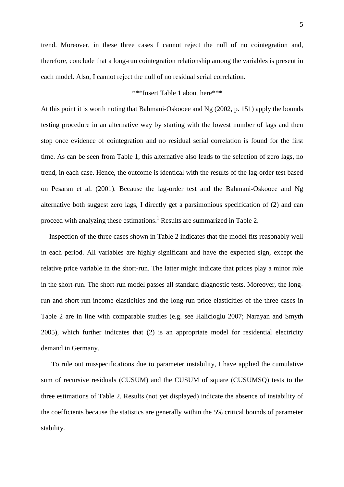trend. Moreover, in these three cases I cannot reject the null of no cointegration and, therefore, conclude that a long-run cointegration relationship among the variables is present in each model. Also, I cannot reject the null of no residual serial correlation.

# \*\*\*Insert Table 1 about here\*\*\*

At this point it is worth noting that Bahmani-Oskooee and Ng (2002, p. 151) apply the bounds testing procedure in an alternative way by starting with the lowest number of lags and then stop once evidence of cointegration and no residual serial correlation is found for the first time. As can be seen from Table 1, this alternative also leads to the selection of zero lags, no trend, in each case. Hence, the outcome is identical with the results of the lag-order test based on Pesaran et al. (2001). Because the lag-order test and the Bahmani-Oskooee and Ng alternative both suggest zero lags, I directly get a parsimonious specification of (2) and can proceed with analyzing these estimations.<sup>1</sup> Results are summarized in Table 2.

Inspection of the three cases shown in Table 2 indicates that the model fits reasonably well in each period. All variables are highly significant and have the expected sign, except the relative price variable in the short-run. The latter might indicate that prices play a minor role in the short-run. The short-run model passes all standard diagnostic tests. Moreover, the longrun and short-run income elasticities and the long-run price elasticities of the three cases in Table 2 are in line with comparable studies (e.g. see Halicioglu 2007; Narayan and Smyth 2005), which further indicates that (2) is an appropriate model for residential electricity demand in Germany.

To rule out misspecifications due to parameter instability, I have applied the cumulative sum of recursive residuals (CUSUM) and the CUSUM of square (CUSUMSQ) tests to the three estimations of Table 2. Results (not yet displayed) indicate the absence of instability of the coefficients because the statistics are generally within the 5% critical bounds of parameter stability.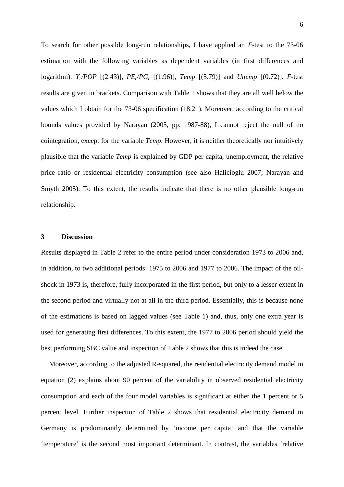To search for other possible long-run relationships, I have applied an *F*-test to the 73-06 estimation with the following variables as dependent variables (in first differences and logarithm): *Yr/POP* [(2.43)], *PEr/PGr* [(1.96)], *Temp* [(5.79)] and *Unemp* [(0.72)]. *F-*test results are given in brackets. Comparison with Table 1 shows that they are all well below the values which I obtain for the 73-06 specification (18.21). Moreover, according to the critical bounds values provided by Narayan (2005, pp. 1987-88), I cannot reject the null of no cointegration, except for the variable *Temp*. However, it is neither theoretically nor intuitively plausible that the variable *Temp* is explained by GDP per capita, unemployment, the relative price ratio or residential electricity consumption (see also Halicioglu 2007; Narayan and Smyth 2005). To this extent, the results indicate that there is no other plausible long-run relationship.

### **3 Discussion**

Results displayed in Table 2 refer to the entire period under consideration 1973 to 2006 and, in addition, to two additional periods: 1975 to 2006 and 1977 to 2006. The impact of the oilshock in 1973 is, therefore, fully incorporated in the first period, but only to a lesser extent in the second period and virtually not at all in the third period. Essentially, this is because none of the estimations is based on lagged values (see Table 1) and, thus, only one extra year is used for generating first differences. To this extent, the 1977 to 2006 period should yield the best performing SBC value and inspection of Table 2 shows that this is indeed the case.

Moreover, according to the adjusted R-squared, the residential electricity demand model in equation (2) explains about 90 percent of the variability in observed residential electricity consumption and each of the four model variables is significant at either the 1 percent or 5 percent level. Further inspection of Table 2 shows that residential electricity demand in Germany is predominantly determined by 'income per capita' and that the variable 'temperature' is the second most important determinant. In contrast, the variables 'relative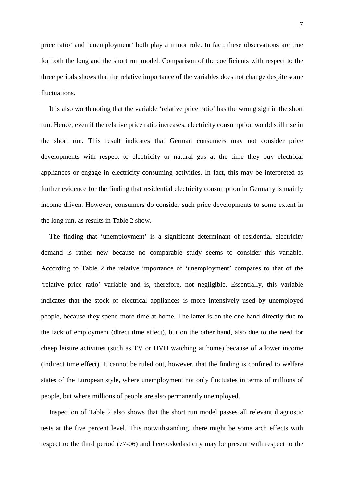price ratio' and 'unemployment' both play a minor role. In fact, these observations are true for both the long and the short run model. Comparison of the coefficients with respect to the three periods shows that the relative importance of the variables does not change despite some fluctuations.

It is also worth noting that the variable 'relative price ratio' has the wrong sign in the short run. Hence, even if the relative price ratio increases, electricity consumption would still rise in the short run. This result indicates that German consumers may not consider price developments with respect to electricity or natural gas at the time they buy electrical appliances or engage in electricity consuming activities. In fact, this may be interpreted as further evidence for the finding that residential electricity consumption in Germany is mainly income driven. However, consumers do consider such price developments to some extent in the long run, as results in Table 2 show.

The finding that 'unemployment' is a significant determinant of residential electricity demand is rather new because no comparable study seems to consider this variable. According to Table 2 the relative importance of 'unemployment' compares to that of the 'relative price ratio' variable and is, therefore, not negligible. Essentially, this variable indicates that the stock of electrical appliances is more intensively used by unemployed people, because they spend more time at home. The latter is on the one hand directly due to the lack of employment (direct time effect), but on the other hand, also due to the need for cheep leisure activities (such as TV or DVD watching at home) because of a lower income (indirect time effect). It cannot be ruled out, however, that the finding is confined to welfare states of the European style, where unemployment not only fluctuates in terms of millions of people, but where millions of people are also permanently unemployed.

Inspection of Table 2 also shows that the short run model passes all relevant diagnostic tests at the five percent level. This notwithstanding, there might be some arch effects with respect to the third period (77-06) and heteroskedasticity may be present with respect to the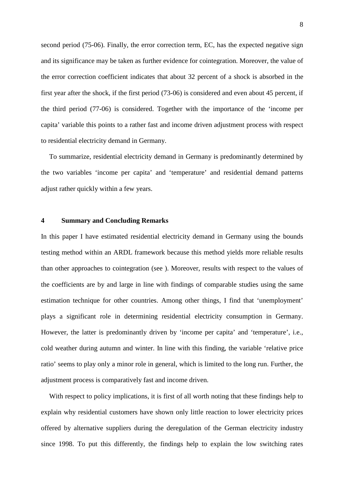second period (75-06). Finally, the error correction term, EC, has the expected negative sign and its significance may be taken as further evidence for cointegration. Moreover, the value of the error correction coefficient indicates that about 32 percent of a shock is absorbed in the first year after the shock, if the first period (73-06) is considered and even about 45 percent, if the third period (77-06) is considered. Together with the importance of the 'income per capita' variable this points to a rather fast and income driven adjustment process with respect to residential electricity demand in Germany.

To summarize, residential electricity demand in Germany is predominantly determined by the two variables 'income per capita' and 'temperature' and residential demand patterns adjust rather quickly within a few years.

## **4 Summary and Concluding Remarks**

In this paper I have estimated residential electricity demand in Germany using the bounds testing method within an ARDL framework because this method yields more reliable results than other approaches to cointegration (see ). Moreover, results with respect to the values of the coefficients are by and large in line with findings of comparable studies using the same estimation technique for other countries. Among other things, I find that 'unemployment' plays a significant role in determining residential electricity consumption in Germany. However, the latter is predominantly driven by 'income per capita' and 'temperature', i.e., cold weather during autumn and winter. In line with this finding, the variable 'relative price ratio' seems to play only a minor role in general, which is limited to the long run. Further, the adjustment process is comparatively fast and income driven.

With respect to policy implications, it is first of all worth noting that these findings help to explain why residential customers have shown only little reaction to lower electricity prices offered by alternative suppliers during the deregulation of the German electricity industry since 1998. To put this differently, the findings help to explain the low switching rates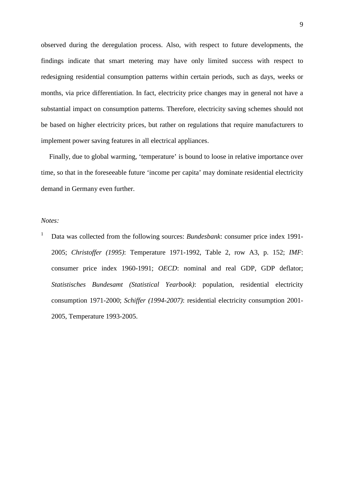observed during the deregulation process. Also, with respect to future developments, the findings indicate that smart metering may have only limited success with respect to redesigning residential consumption patterns within certain periods, such as days, weeks or months, via price differentiation. In fact, electricity price changes may in general not have a substantial impact on consumption patterns. Therefore, electricity saving schemes should not be based on higher electricity prices, but rather on regulations that require manufacturers to implement power saving features in all electrical appliances.

Finally, due to global warming, 'temperature' is bound to loose in relative importance over time, so that in the foreseeable future 'income per capita' may dominate residential electricity demand in Germany even further.

## *Notes:*

<sup>1</sup> Data was collected from the following sources: *Bundesbank*: consumer price index 1991-2005; *Christoffer (1995)*: Temperature 1971-1992, Table 2, row A3, p. 152; *IMF*: consumer price index 1960-1991; *OECD*: nominal and real GDP, GDP deflator; *Statistisches Bundesamt (Statistical Yearbook)*: population, residential electricity consumption 1971-2000; *Schiffer (1994-2007)*: residential electricity consumption 2001- 2005, Temperature 1993-2005.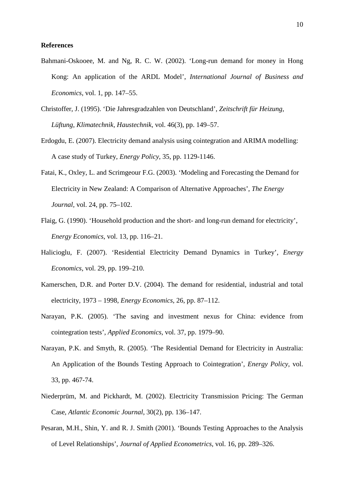## **References**

- Bahmani-Oskooee, M. and Ng, R. C. W. (2002). 'Long-run demand for money in Hong Kong: An application of the ARDL Model', *International Journal of Business and Economics*, vol. 1, pp. 147–55.
- Christoffer, J. (1995). 'Die Jahresgradzahlen von Deutschland', *Zeitschrift für Heizung, Lüftung, Klimatechnik, Haustechnik*, vol. 46(3), pp. 149–57.
- Erdogdu, E. (2007). Electricity demand analysis using cointegration and ARIMA modelling: A case study of Turkey, *Energy Policy*, 35, pp. 1129-1146.
- Fatai, K., Oxley, L. and Scrimgeour F.G. (2003). 'Modeling and Forecasting the Demand for Electricity in New Zealand: A Comparison of Alternative Approaches', *The Energy Journal,* vol. 24, pp. 75–102.
- Flaig, G. (1990). 'Household production and the short- and long-run demand for electricity', *Energy Economics*, vol. 13, pp. 116–21.
- Halicioglu, F. (2007). 'Residential Electricity Demand Dynamics in Turkey', *Energy Economics*, vol. 29, pp. 199–210.
- Kamerschen, D.R. and Porter D.V. (2004). The demand for residential, industrial and total electricity, 1973 – 1998, *Energy Economics*, 26, pp. 87–112.
- Narayan, P.K. (2005). 'The saving and investment nexus for China: evidence from cointegration tests', *Applied Economics*, vol. 37, pp. 1979–90.
- Narayan, P.K. and Smyth, R. (2005). 'The Residential Demand for Electricity in Australia: An Application of the Bounds Testing Approach to Cointegration', *Energy Policy*, vol. 33, pp. 467-74.
- Niederprüm, M. and Pickhardt, M. (2002). Electricity Transmission Pricing: The German Case, *Atlantic Economic Journal*, 30(2), pp. 136–147.
- Pesaran, M.H., Shin, Y. and R. J. Smith (2001). 'Bounds Testing Approaches to the Analysis of Level Relationships', *Journal of Applied Econometrics*, vol. 16, pp. 289–326.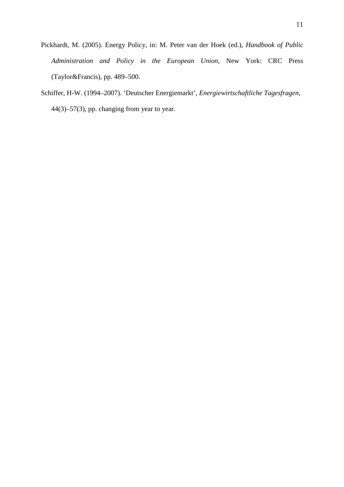- Pickhardt, M. (2005). Energy Policy, in: M. Peter van der Hoek (ed.), *Handbook of Public Administration and Policy in the European Union*, New York: CRC Press (Taylor&Francis), pp. 489–500.
- Schiffer, H-W. (1994–2007). 'Deutscher Energiemarkt', *Energiewirtschaftliche Tagesfragen*, 44(3)–57(3), pp. changing from year to year.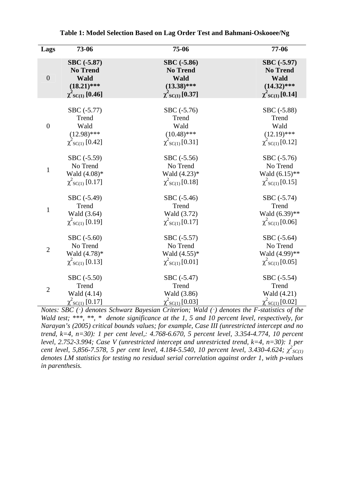| Lags             | 73-06                       | 75-06                            | 77-06                 |
|------------------|-----------------------------|----------------------------------|-----------------------|
| $\boldsymbol{0}$ | SBC (-5.87)                 | SBC (-5.86)                      | SBC (-5.97)           |
|                  | <b>No Trend</b>             | <b>No Trend</b>                  | <b>No Trend</b>       |
|                  | Wald                        | <b>Wald</b>                      | <b>Wald</b>           |
|                  | $(18.21)$ ***               | $(13.38)$ ***                    | $(14.32)$ ***         |
|                  | $\chi^2$ sc $_{(1)}$ [0.46] | $\chi^2$ <sub>SC(1)</sub> [0.37] | $\chi^2$ sc(1) [0.14] |
| $\boldsymbol{0}$ | SBC (-5.77)                 | SBC (-5.76)                      | SBC (-5.88)           |
|                  | Trend                       | Trend                            | Trend                 |
|                  | Wald                        | Wald                             | Wald                  |
|                  | $(12.98)$ ***               | $(10.48)$ ***                    | $(12.19)$ ***         |
|                  | $\chi^2$ sc(1) [0.42]       | $\chi^2$ sc(1)[0.31]             | $\chi^2$ sc(1) [0.12] |
| $\mathbf{1}$     | SBC (-5.59)                 | SBC (-5.56)                      | SBC (-5.76)           |
|                  | No Trend                    | No Trend                         | No Trend              |
|                  | Wald $(4.08)*$              | Wald $(4.23)$ *                  | Wald (6.15)**         |
|                  | $\chi^2$ sc(1) [0.17]       | $\chi^2$ sc(1)[0.18]             | $\chi^2$ sc(1) [0.15] |
| $\mathbf{1}$     | SBC (-5.49)                 | SBC (-5.46)                      | SBC (-5.74)           |
|                  | Trend                       | Trend                            | Trend                 |
|                  | Wald (3.64)                 | Wald (3.72)                      | Wald (6.39)**         |
|                  | $\chi^2$ sc(1) [0.19]       | $\chi^2$ sc(1)[0.17]             | $\chi^2$ sc(1) [0.06] |
| $\overline{2}$   | SBC (-5.60)                 | SBC (-5.57)                      | SBC (-5.64)           |
|                  | No Trend                    | No Trend                         | No Trend              |
|                  | Wald (4.78)*                | Wald $(4.55)*$                   | Wald (4.99)**         |
|                  | $\chi^2$ sc(1) [0.13]       | $\chi^2$ sc(1)[0.01]             | $\chi^2$ sc(1) [0.05] |
| $\overline{2}$   | SBC (-5.50)                 | SBC (-5.47)                      | SBC (-5.54)           |
|                  | Trend                       | Trend                            | Trend                 |
|                  | Wald (4.14)                 | Wald (3.86)                      | Wald (4.21)           |
|                  | $\chi^2$ sc(1) [0.17]       | $\chi^2$ sc(1)[0.03]             | $\chi^2$ sc(1)[0.02]  |

**Table 1: Model Selection Based on Lag Order Test and Bahmani-Oskooee/Ng** 

*Notes: SBC (*·*) denotes Schwarz Bayesian Criterion; Wald (*·*) denotes the F-statistics of the Wald test; \*\*\*, \*\*, \* denote significance at the 1, 5 and 10 percent level, respectively, for Narayan's (2005) critical bounds values; for example, Case III (unrestricted intercept and no trend, k=4, n=30): 1 per cent level,: 4.768-6.670, 5 percent level, 3.354-4.774, 10 percent level, 2.752-3.994; Case V (unrestricted intercept and unrestricted trend, k=4, n=30): 1 per cent level, 5,856-7.578, 5 per cent level, 4.184-5.540, 10 percent level, 3.430-4.624;*  $\chi^2$ *<sub>SC(1)</sub> denotes LM statistics for testing no residual serial correlation against order 1, with p-values in parenthesis.*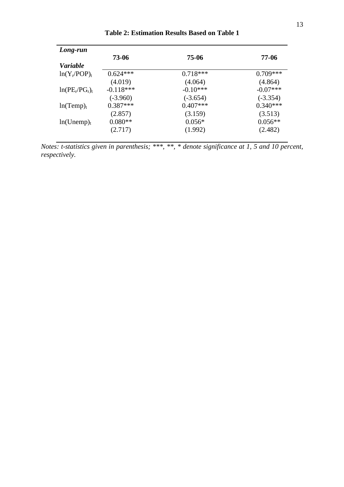| Long-run               |             |            |            |
|------------------------|-------------|------------|------------|
|                        | 73-06       | 75-06      | 77-06      |
| <i>Variable</i>        |             |            |            |
| $ln(Y_r/POP)_t$        | $0.624***$  | $0.718***$ | $0.709***$ |
|                        | (4.019)     | (4.064)    | (4.864)    |
| $ln(PE_r/PG_r)$        | $-0.118***$ | $-0.10***$ | $-0.07***$ |
|                        | $(-3.960)$  | $(-3.654)$ | $(-3.354)$ |
| ln(Temp) <sub>t</sub>  | $0.387***$  | $0.407***$ | $0.340***$ |
|                        | (2.857)     | (3.159)    | (3.513)    |
| ln(Unemp) <sub>t</sub> | $0.080**$   | $0.056*$   | $0.056**$  |
|                        | (2.717)     | (1.992)    | (2.482)    |

**Table 2: Estimation Results Based on Table 1** 

*Notes: t-statistics given in parenthesis; \*\*\*, \*\*, \* denote significance at 1, 5 and 10 percent, respectively.*